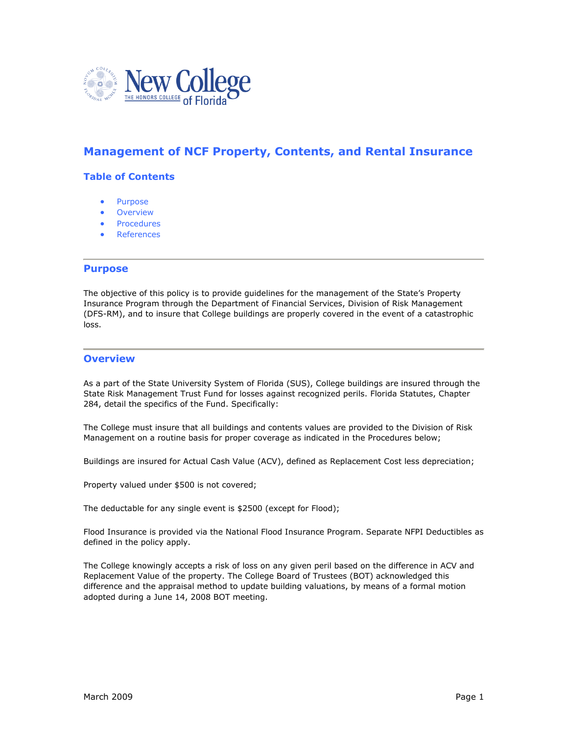

# **Management of NCF Property, Contents, and Rental Insurance**

# **Table of Contents**

- Purpose
- **•** Overview
- Procedures
- References

# **Purpose**

The objective of this policy is to provide guidelines for the management of the State's Property Insurance Program through the Department of Financial Services, Division of Risk Management (DFS-RM), and to insure that College buildings are properly covered in the event of a catastrophic loss.

## **Overview**

As a part of the State University System of Florida (SUS), College buildings are insured through the State Risk Management Trust Fund for losses against recognized perils. Florida Statutes, Chapter 284, detail the specifics of the Fund. Specifically:

The College must insure that all buildings and contents values are provided to the Division of Risk Management on a routine basis for proper coverage as indicated in the Procedures below;

Buildings are insured for Actual Cash Value (ACV), defined as Replacement Cost less depreciation;

Property valued under \$500 is not covered;

The deductable for any single event is \$2500 (except for Flood);

Flood Insurance is provided via the National Flood Insurance Program. Separate NFPI Deductibles as defined in the policy apply.

The College knowingly accepts a risk of loss on any given peril based on the difference in ACV and Replacement Value of the property. The College Board of Trustees (BOT) acknowledged this difference and the appraisal method to update building valuations, by means of a formal motion adopted during a June 14, 2008 BOT meeting.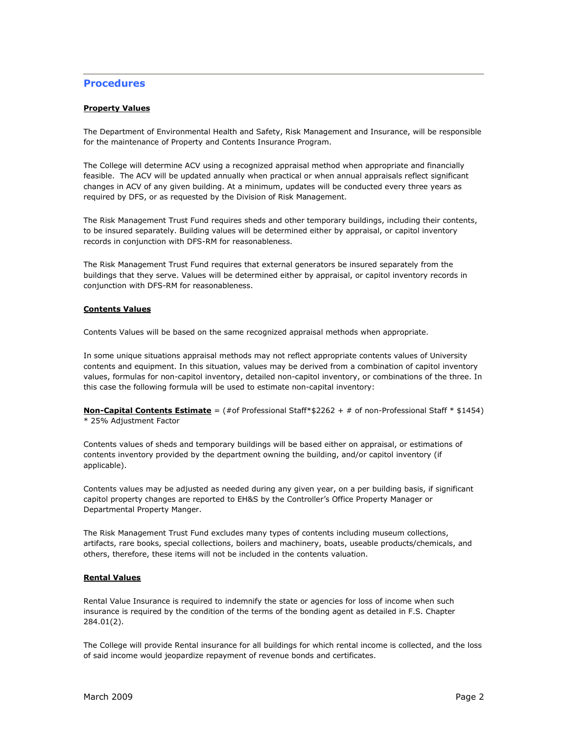# **Procedures**

## **Property Values**

The Department of Environmental Health and Safety, Risk Management and Insurance, will be responsible for the maintenance of Property and Contents Insurance Program.

The College will determine ACV using a recognized appraisal method when appropriate and financially feasible. The ACV will be updated annually when practical or when annual appraisals reflect significant changes in ACV of any given building. At a minimum, updates will be conducted every three years as required by DFS, or as requested by the Division of Risk Management.

The Risk Management Trust Fund requires sheds and other temporary buildings, including their contents, to be insured separately. Building values will be determined either by appraisal, or capitol inventory records in conjunction with DFS-RM for reasonableness.

The Risk Management Trust Fund requires that external generators be insured separately from the buildings that they serve. Values will be determined either by appraisal, or capitol inventory records in conjunction with DFS-RM for reasonableness.

## **Contents Values**

Contents Values will be based on the same recognized appraisal methods when appropriate.

In some unique situations appraisal methods may not reflect appropriate contents values of University contents and equipment. In this situation, values may be derived from a combination of capitol inventory values, formulas for non-capitol inventory, detailed non-capitol inventory, or combinations of the three. In this case the following formula will be used to estimate non-capital inventory:

**Non-Capital Contents Estimate** = (#of Professional Staff\*\$2262 + # of non-Professional Staff \* \$1454) \* 25% Adjustment Factor

Contents values of sheds and temporary buildings will be based either on appraisal, or estimations of contents inventory provided by the department owning the building, and/or capitol inventory (if applicable).

Contents values may be adjusted as needed during any given year, on a per building basis, if significant capitol property changes are reported to EH&S by the Controller's Office Property Manager or Departmental Property Manger.

The Risk Management Trust Fund excludes many types of contents including museum collections, artifacts, rare books, special collections, boilers and machinery, boats, useable products/chemicals, and others, therefore, these items will not be included in the contents valuation.

## **Rental Values**

Rental Value Insurance is required to indemnify the state or agencies for loss of income when such insurance is required by the condition of the terms of the bonding agent as detailed in F.S. Chapter 284.01(2).

The College will provide Rental insurance for all buildings for which rental income is collected, and the loss of said income would jeopardize repayment of revenue bonds and certificates.